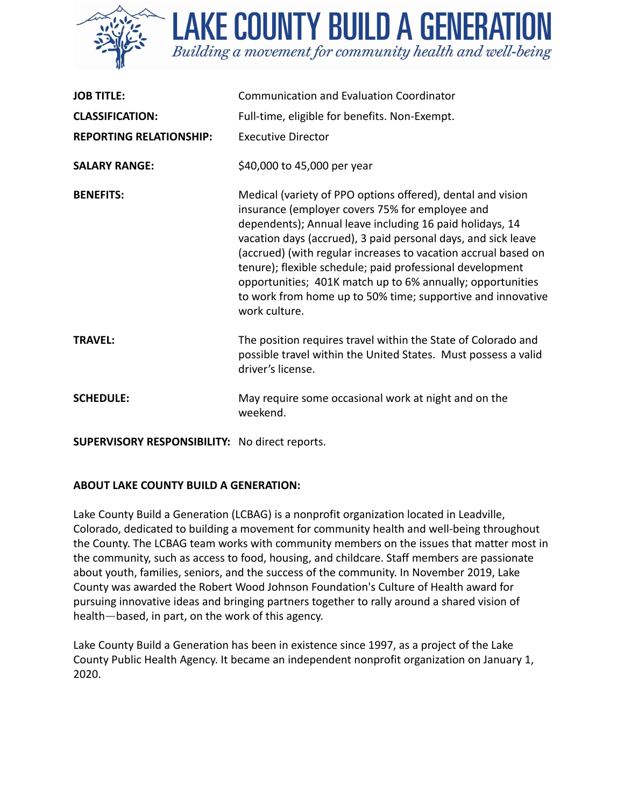

**LAKE COUNTY BUILD A GENERATION** Building a movement for community health and well-being

| <b>JOB TITLE:</b>              | <b>Communication and Evaluation Coordinator</b>                                                                                                                                                                                                                                                                                                                                                                                                                                                                          |
|--------------------------------|--------------------------------------------------------------------------------------------------------------------------------------------------------------------------------------------------------------------------------------------------------------------------------------------------------------------------------------------------------------------------------------------------------------------------------------------------------------------------------------------------------------------------|
| <b>CLASSIFICATION:</b>         | Full-time, eligible for benefits. Non-Exempt.                                                                                                                                                                                                                                                                                                                                                                                                                                                                            |
| <b>REPORTING RELATIONSHIP:</b> | <b>Executive Director</b>                                                                                                                                                                                                                                                                                                                                                                                                                                                                                                |
| <b>SALARY RANGE:</b>           | \$40,000 to 45,000 per year                                                                                                                                                                                                                                                                                                                                                                                                                                                                                              |
| <b>BENEFITS:</b>               | Medical (variety of PPO options offered), dental and vision<br>insurance (employer covers 75% for employee and<br>dependents); Annual leave including 16 paid holidays, 14<br>vacation days (accrued), 3 paid personal days, and sick leave<br>(accrued) (with regular increases to vacation accrual based on<br>tenure); flexible schedule; paid professional development<br>opportunities; 401K match up to 6% annually; opportunities<br>to work from home up to 50% time; supportive and innovative<br>work culture. |
| <b>TRAVEL:</b>                 | The position requires travel within the State of Colorado and<br>possible travel within the United States. Must possess a valid<br>driver's license.                                                                                                                                                                                                                                                                                                                                                                     |
| <b>SCHEDULE:</b>               | May require some occasional work at night and on the<br>weekend.                                                                                                                                                                                                                                                                                                                                                                                                                                                         |

**SUPERVISORY RESPONSIBILITY:** No direct reports.

## **ABOUT LAKE COUNTY BUILD A GENERATION:**

Lake County Build a Generation (LCBAG) is a nonprofit organization located in Leadville, Colorado, dedicated to building a movement for community health and well-being throughout the County. The LCBAG team works with community members on the issues that matter most in the community, such as access to food, housing, and childcare. Staff members are passionate about youth, families, seniors, and the success of the community. In November 2019, Lake County was awarded the Robert Wood Johnson Foundation's Culture of Health award for pursuing innovative ideas and bringing partners together to rally around a shared vision of health—based, in part, on the work of this agency.

Lake County Build a Generation has been in existence since 1997, as a project of the Lake County Public Health Agency. It became an independent nonprofit organization on January 1, 2020.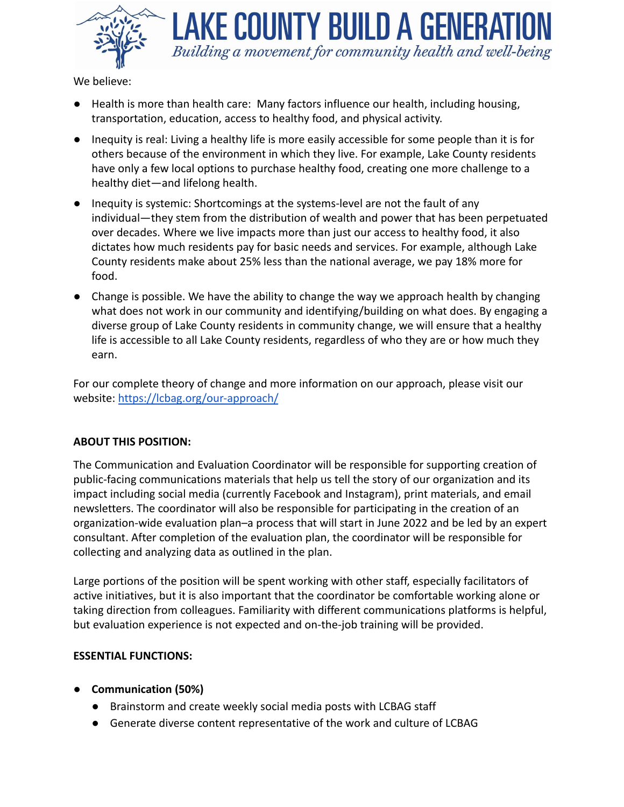

AKE COUNTY BUILD A GENERATI Building a movement for community health and well-being

We believe:

- Health is more than health care: Many factors influence our health, including housing, transportation, education, access to healthy food, and physical activity.
- Inequity is real: Living a healthy life is more easily accessible for some people than it is for others because of the environment in which they live. For example, Lake County residents have only a few local options to purchase healthy food, creating one more challenge to a healthy diet—and lifelong health.
- Inequity is systemic: Shortcomings at the systems-level are not the fault of any individual—they stem from the distribution of wealth and power that has been perpetuated over decades. Where we live impacts more than just our access to healthy food, it also dictates how much residents pay for basic needs and services. For example, although Lake County residents make about 25% less than the national average, we pay 18% more for food.
- Change is possible. We have the ability to change the way we approach health by changing what does not work in our community and identifying/building on what does. By engaging a diverse group of Lake County residents in community change, we will ensure that a healthy life is accessible to all Lake County residents, regardless of who they are or how much they earn.

For our complete theory of change and more information on our approach, please visit our website: <https://lcbag.org/our-approach/>

## **ABOUT THIS POSITION:**

The Communication and Evaluation Coordinator will be responsible for supporting creation of public-facing communications materials that help us tell the story of our organization and its impact including social media (currently Facebook and Instagram), print materials, and email newsletters. The coordinator will also be responsible for participating in the creation of an organization-wide evaluation plan–a process that will start in June 2022 and be led by an expert consultant. After completion of the evaluation plan, the coordinator will be responsible for collecting and analyzing data as outlined in the plan.

Large portions of the position will be spent working with other staff, especially facilitators of active initiatives, but it is also important that the coordinator be comfortable working alone or taking direction from colleagues. Familiarity with different communications platforms is helpful, but evaluation experience is not expected and on-the-job training will be provided.

## **ESSENTIAL FUNCTIONS:**

- **● Communication (50%)**
	- Brainstorm and create weekly social media posts with LCBAG staff
	- Generate diverse content representative of the work and culture of LCBAG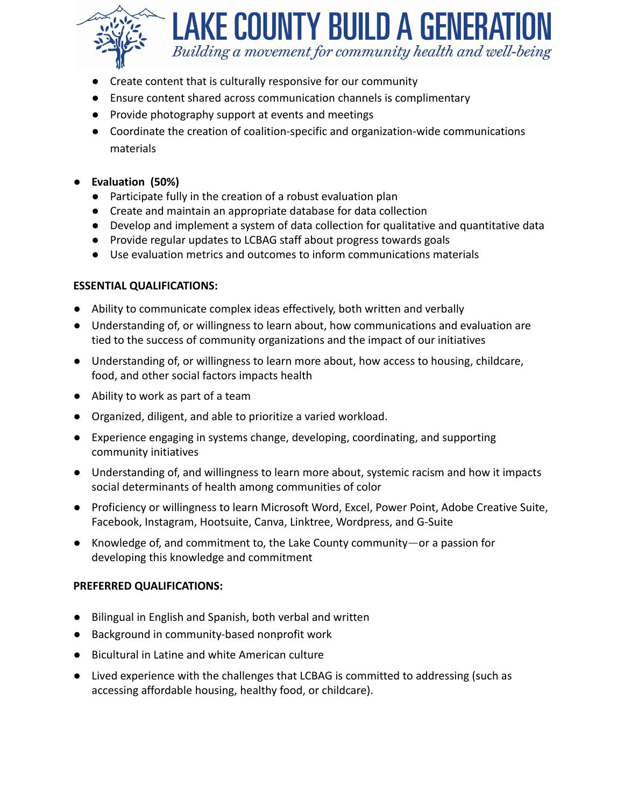

# **LAKE COUNTY BUILD A GENERAT** Building a movement for community health and well-being

- Create content that is culturally responsive for our community
- Ensure content shared across communication channels is complimentary
- Provide photography support at events and meetings
- Coordinate the creation of coalition-specific and organization-wide communications materials
- **Evaluation (50%)**
	- Participate fully in the creation of a robust evaluation plan
	- Create and maintain an appropriate database for data collection
	- Develop and implement a system of data collection for qualitative and quantitative data
	- Provide regular updates to LCBAG staff about progress towards goals
	- Use evaluation metrics and outcomes to inform communications materials

## **ESSENTIAL QUALIFICATIONS:**

- Ability to communicate complex ideas effectively, both written and verbally
- Understanding of, or willingness to learn about, how communications and evaluation are tied to the success of community organizations and the impact of our initiatives
- Understanding of, or willingness to learn more about, how access to housing, childcare, food, and other social factors impacts health
- Ability to work as part of a team
- Organized, diligent, and able to prioritize a varied workload.
- Experience engaging in systems change, developing, coordinating, and supporting community initiatives
- Understanding of, and willingness to learn more about, systemic racism and how it impacts social determinants of health among communities of color
- Proficiency or willingness to learn Microsoft Word, Excel, Power Point, Adobe Creative Suite, Facebook, Instagram, Hootsuite, Canva, Linktree, Wordpress, and G-Suite
- Knowledge of, and commitment to, the Lake County community—or a passion for developing this knowledge and commitment

## **PREFERRED QUALIFICATIONS:**

- Bilingual in English and Spanish, both verbal and written
- Background in community-based nonprofit work
- Bicultural in Latine and white American culture
- Lived experience with the challenges that LCBAG is committed to addressing (such as accessing affordable housing, healthy food, or childcare).